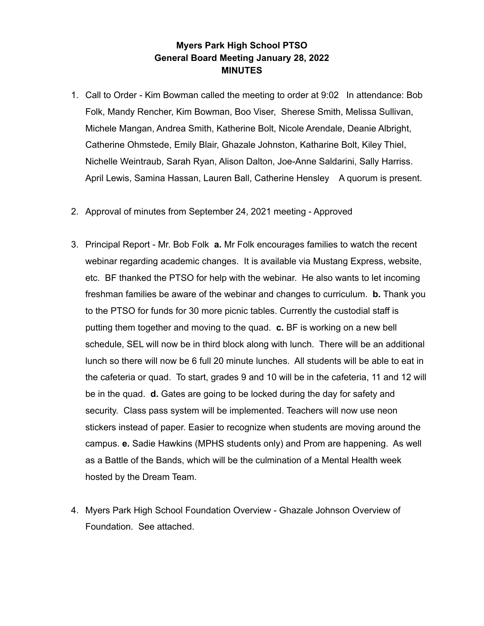## **Myers Park High School PTSO General Board Meeting January 28, 2022 MINUTES**

- 1. Call to Order Kim Bowman called the meeting to order at 9:02 In attendance: Bob Folk, Mandy Rencher, Kim Bowman, Boo Viser, Sherese Smith, Melissa Sullivan, Michele Mangan, Andrea Smith, Katherine Bolt, Nicole Arendale, Deanie Albright, Catherine Ohmstede, Emily Blair, Ghazale Johnston, Katharine Bolt, Kiley Thiel, Nichelle Weintraub, Sarah Ryan, Alison Dalton, Joe-Anne Saldarini, Sally Harriss. April Lewis, Samina Hassan, Lauren Ball, Catherine Hensley A quorum is present.
- 2. Approval of minutes from September 24, 2021 meeting Approved
- 3. Principal Report Mr. Bob Folk **a.** Mr Folk encourages families to watch the recent webinar regarding academic changes. It is available via Mustang Express, website, etc. BF thanked the PTSO for help with the webinar. He also wants to let incoming freshman families be aware of the webinar and changes to curriculum. **b.** Thank you to the PTSO for funds for 30 more picnic tables. Currently the custodial staff is putting them together and moving to the quad. **c.** BF is working on a new bell schedule, SEL will now be in third block along with lunch. There will be an additional lunch so there will now be 6 full 20 minute lunches. All students will be able to eat in the cafeteria or quad. To start, grades 9 and 10 will be in the cafeteria, 11 and 12 will be in the quad. **d.** Gates are going to be locked during the day for safety and security. Class pass system will be implemented. Teachers will now use neon stickers instead of paper. Easier to recognize when students are moving around the campus. **e.** Sadie Hawkins (MPHS students only) and Prom are happening. As well as a Battle of the Bands, which will be the culmination of a Mental Health week hosted by the Dream Team.
- 4. Myers Park High School Foundation Overview Ghazale Johnson Overview of Foundation. See attached.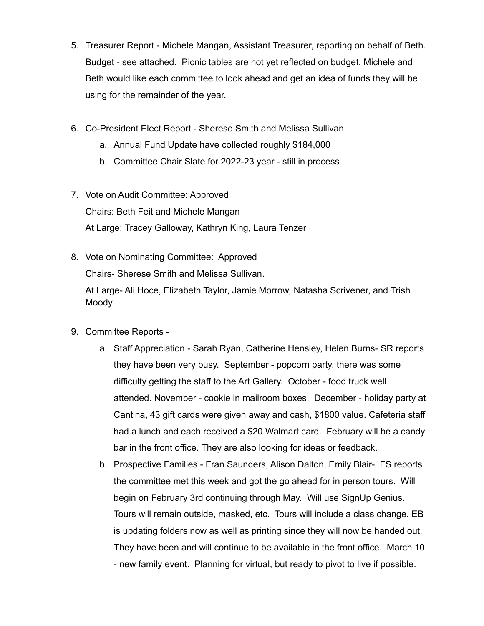- 5. Treasurer Report Michele Mangan, Assistant Treasurer, reporting on behalf of Beth. Budget - see attached. Picnic tables are not yet reflected on budget. Michele and Beth would like each committee to look ahead and get an idea of funds they will be using for the remainder of the year.
- 6. Co-President Elect Report Sherese Smith and Melissa Sullivan
	- a. Annual Fund Update have collected roughly \$184,000
	- b. Committee Chair Slate for 2022-23 year still in process
- 7. Vote on Audit Committee: Approved Chairs: Beth Feit and Michele Mangan At Large: Tracey Galloway, Kathryn King, Laura Tenzer
- 8. Vote on Nominating Committee: Approved

Chairs- Sherese Smith and Melissa Sullivan.

At Large- Ali Hoce, Elizabeth Taylor, Jamie Morrow, Natasha Scrivener, and Trish Moody

- 9. Committee Reports
	- a. Staff Appreciation Sarah Ryan, Catherine Hensley, Helen Burns- SR reports they have been very busy. September - popcorn party, there was some difficulty getting the staff to the Art Gallery. October - food truck well attended. November - cookie in mailroom boxes. December - holiday party at Cantina, 43 gift cards were given away and cash, \$1800 value. Cafeteria staff had a lunch and each received a \$20 Walmart card. February will be a candy bar in the front office. They are also looking for ideas or feedback.
	- b. Prospective Families Fran Saunders, Alison Dalton, Emily Blair- FS reports the committee met this week and got the go ahead for in person tours. Will begin on February 3rd continuing through May. Will use SignUp Genius. Tours will remain outside, masked, etc. Tours will include a class change. EB is updating folders now as well as printing since they will now be handed out. They have been and will continue to be available in the front office. March 10 - new family event. Planning for virtual, but ready to pivot to live if possible.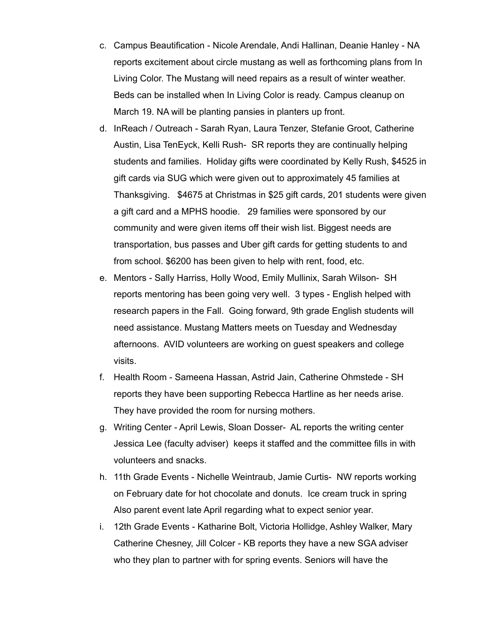- c. Campus Beautification Nicole Arendale, Andi Hallinan, Deanie Hanley NA reports excitement about circle mustang as well as forthcoming plans from In Living Color. The Mustang will need repairs as a result of winter weather. Beds can be installed when In Living Color is ready. Campus cleanup on March 19. NA will be planting pansies in planters up front.
- d. InReach / Outreach Sarah Ryan, Laura Tenzer, Stefanie Groot, Catherine Austin, Lisa TenEyck, Kelli Rush- SR reports they are continually helping students and families. Holiday gifts were coordinated by Kelly Rush, \$4525 in gift cards via SUG which were given out to approximately 45 families at Thanksgiving. \$4675 at Christmas in \$25 gift cards, 201 students were given a gift card and a MPHS hoodie. 29 families were sponsored by our community and were given items off their wish list. Biggest needs are transportation, bus passes and Uber gift cards for getting students to and from school. \$6200 has been given to help with rent, food, etc.
- e. Mentors Sally Harriss, Holly Wood, Emily Mullinix, Sarah Wilson- SH reports mentoring has been going very well. 3 types - English helped with research papers in the Fall. Going forward, 9th grade English students will need assistance. Mustang Matters meets on Tuesday and Wednesday afternoons. AVID volunteers are working on guest speakers and college visits.
- f. Health Room Sameena Hassan, Astrid Jain, Catherine Ohmstede SH reports they have been supporting Rebecca Hartline as her needs arise. They have provided the room for nursing mothers.
- g. Writing Center April Lewis, Sloan Dosser- AL reports the writing center Jessica Lee (faculty adviser) keeps it staffed and the committee fills in with volunteers and snacks.
- h. 11th Grade Events Nichelle Weintraub, Jamie Curtis- NW reports working on February date for hot chocolate and donuts. Ice cream truck in spring Also parent event late April regarding what to expect senior year.
- i. 12th Grade Events Katharine Bolt, Victoria Hollidge, Ashley Walker, Mary Catherine Chesney, Jill Colcer - KB reports they have a new SGA adviser who they plan to partner with for spring events. Seniors will have the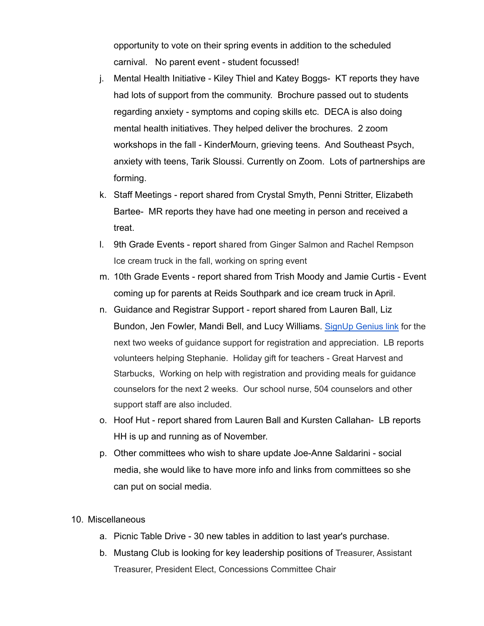opportunity to vote on their spring events in addition to the scheduled carnival. No parent event - student focussed!

- j. Mental Health Initiative Kiley Thiel and Katey Boggs- KT reports they have had lots of support from the community. Brochure passed out to students regarding anxiety - symptoms and coping skills etc. DECA is also doing mental health initiatives. They helped deliver the brochures. 2 zoom workshops in the fall - KinderMourn, grieving teens. And Southeast Psych, anxiety with teens, Tarik Sloussi. Currently on Zoom. Lots of partnerships are forming.
- k. Staff Meetings report shared from Crystal Smyth, Penni Stritter, Elizabeth Bartee- MR reports they have had one meeting in person and received a treat.
- l. 9th Grade Events report shared from Ginger Salmon and Rachel Rempson Ice cream truck in the fall, working on spring event
- m. 10th Grade Events report shared from Trish Moody and Jamie Curtis Event coming up for parents at Reids Southpark and ice cream truck in April.
- n. Guidance and Registrar Support report shared from Lauren Ball, Liz Bundon, Jen Fowler, Mandi Bell, and Lucy Williams. [SignUp](https://m.signupgenius.com/#!/showSignUp/4090f4cada82ea7fd0-guidance2/4266913) Genius link for the next two weeks of guidance support for registration and appreciation. LB reports volunteers helping Stephanie. Holiday gift for teachers - Great Harvest and Starbucks, Working on help with registration and providing meals for guidance counselors for the next 2 weeks. Our school nurse, 504 counselors and other support staff are also included.
- o. Hoof Hut report shared from Lauren Ball and Kursten Callahan- LB reports HH is up and running as of November.
- p. Other committees who wish to share update Joe-Anne Saldarini social media, she would like to have more info and links from committees so she can put on social media.
- 10. Miscellaneous
	- a. Picnic Table Drive 30 new tables in addition to last year's purchase.
	- b. Mustang Club is looking for key leadership positions of Treasurer, Assistant Treasurer, President Elect, Concessions Committee Chair